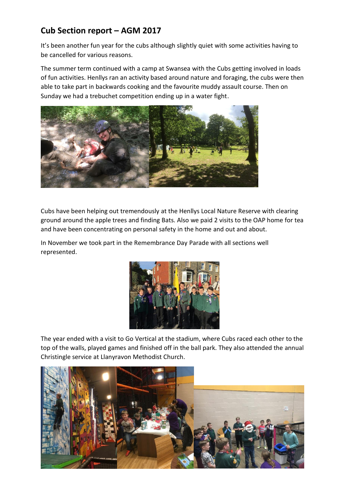## **Cub Section report – AGM 2017**

It's been another fun year for the cubs although slightly quiet with some activities having to be cancelled for various reasons.

The summer term continued with a camp at Swansea with the Cubs getting involved in loads of fun activities. Henllys ran an activity based around nature and foraging, the cubs were then able to take part in backwards cooking and the favourite muddy assault course. Then on Sunday we had a trebuchet competition ending up in a water fight.



Cubs have been helping out tremendously at the Henllys Local Nature Reserve with clearing ground around the apple trees and finding Bats. Also we paid 2 visits to the OAP home for tea and have been concentrating on personal safety in the home and out and about.

In November we took part in the Remembrance Day Parade with all sections well represented.



The year ended with a visit to Go Vertical at the stadium, where Cubs raced each other to the top of the walls, played games and finished off in the ball park. They also attended the annual Christingle service at Llanyravon Methodist Church.